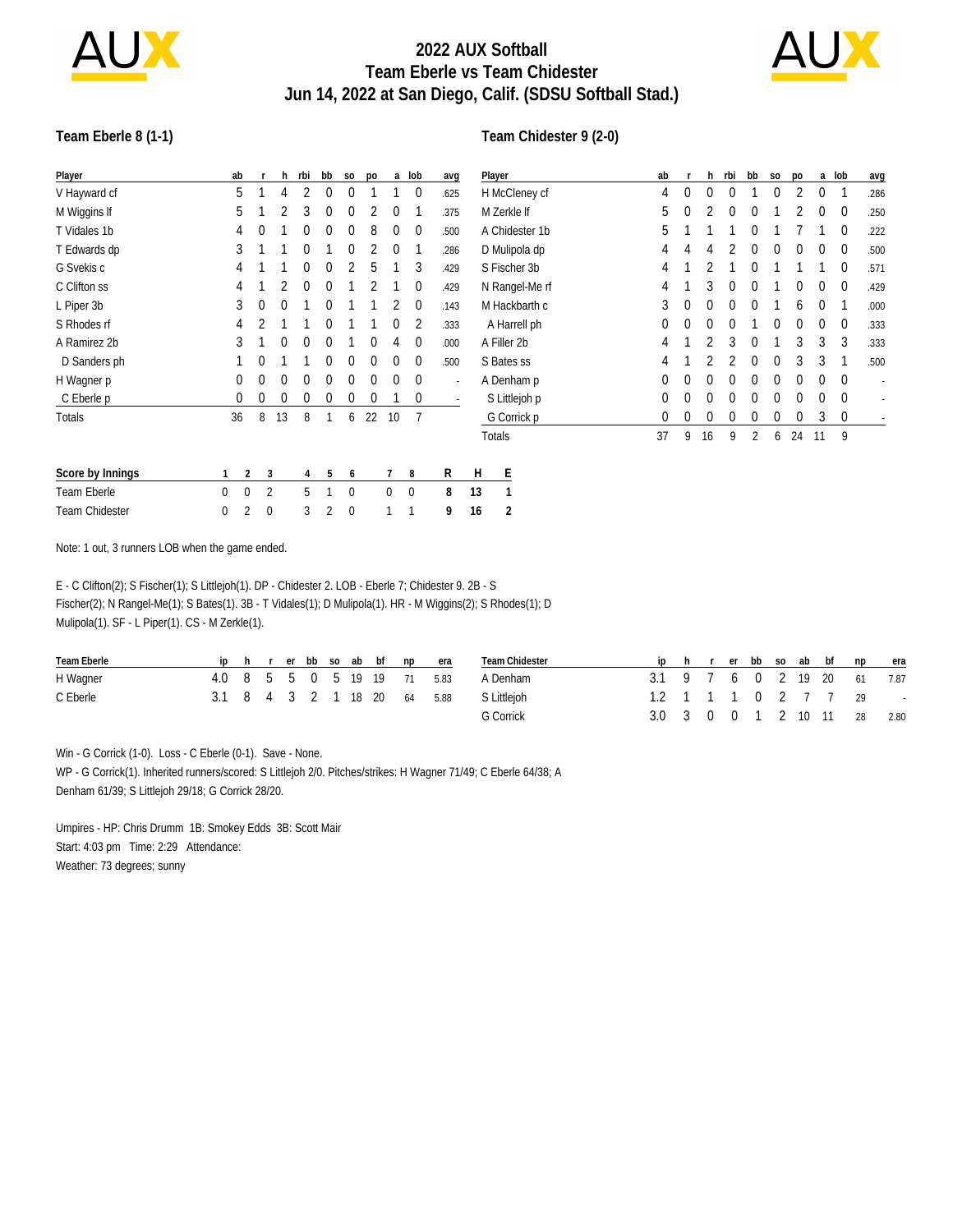

# **2022 AUX Softball Team Eberle vs Team Chidester Jun 14, 2022 at San Diego, Calif. (SDSU Softball Stad.)**



### **Team Eberle 8 (1-1)**

#### **Team Chidester 9 (2-0)**

| Player                | ab |              | h.           | rbi      | bb           | S <sub>0</sub> | po          |              | a lob            | avg    |    | Player         | ab           |   | h. | rbi | bb       | S <sub>0</sub> | po       |             | a lob       | avg  |
|-----------------------|----|--------------|--------------|----------|--------------|----------------|-------------|--------------|------------------|--------|----|----------------|--------------|---|----|-----|----------|----------------|----------|-------------|-------------|------|
| V Hayward cf          | 5  |              | 4            |          | $\bf{0}$     | $\mathbf 0$    |             |              | 0                | .625   |    | H McCleney cf  | 4            | 0 | 0  |     |          | 0              |          | 0           |             | .286 |
| M Wiggins If          | 5. |              |              | 3        | $\bf{0}$     | $\mathbf 0$    |             | $\theta$     |                  | .375   |    | M Zerkle If    | 5            | 0 |    |     |          |                |          | 0           | 0           | .250 |
| T Vidales 1b          | 4  | $\mathbf{0}$ |              | $\Omega$ | $\bf{0}$     | $\theta$       | 8           | $\Omega$     | $\overline{0}$   | .500   |    | A Chidester 1b | 5            |   |    |     |          |                |          |             | 0           | .222 |
| T Edwards dp          | 3  |              |              | $\Omega$ |              | $\Omega$       |             | $\Omega$     |                  | .286   |    | D Mulipola dp  | 4            | 4 | 4  |     | 0        | $\bf{0}$       | 0        | 0           | 0           | .500 |
| G Svekis c            | 4  |              |              | $\theta$ | $\Omega$     | 2              | 5           |              | 3                | .429   |    | S Fischer 3b   |              |   |    |     |          |                |          |             | 0           | .571 |
| C Clifton ss          | 4  |              |              | $\Omega$ | $\theta$     |                |             |              | 0                | .429   |    | N Rangel-Me rf |              |   | 3  |     |          |                | 0        | 0           | 0           | .429 |
| L Piper 3b            | 3  | $\mathbf{0}$ | $\Omega$     |          | $\mathbf{0}$ |                |             |              | $\overline{0}$   | .143   |    | M Hackbarth c  | 3            | 0 | 0  | 0   | $\theta$ |                | 6        | $\mathbf 0$ |             | .000 |
| S Rhodes rf           | 4  |              |              |          | $\Omega$     |                |             | $\theta$     | 2                | .333   |    | A Harrell ph   | 0            | 0 | 0  |     |          | $\Omega$       | $\Omega$ | 0           | $\mathbf 0$ | .333 |
| A Ramirez 2b          | 3  |              | $\Omega$     | $\Omega$ | $\mathbf{0}$ |                | $\Omega$    | 4            | $\mathbf 0$      | .000.  |    | A Filler 2b    | 4            |   |    | 3   | 0        |                | 3        | 3           | 3           | .333 |
| D Sanders ph          |    | $\mathbf{0}$ |              |          | $\Omega$     | $\Omega$       | $\theta$    | $\Omega$     | $\mathbf 0$      | .500   |    | S Bates ss     | 4            |   |    |     | 0        | $\Omega$       | 3        | 3           |             | .500 |
| H Wagner p            | 0  | $\Omega$     | $\Omega$     | $\Omega$ | $\Omega$     | $\mathbf{0}$   | $\mathbf 0$ | $\mathbf 0$  | $\overline{0}$   | $\sim$ |    | A Denham p     | 0            | 0 | 0  | 0   | 0        | 0              | 0        | 0           | $\Omega$    |      |
| C Eberle p            | 0  | $\mathbf 0$  | $\bf{0}$     | 0        | 0            | 0              | $\bf{0}$    |              | $\mathbf 0$      |        |    | S Littlejoh p  | $\mathbf{0}$ | 0 | 0  | 0   | $^{0}$   | 0              | $\Omega$ | 0           | $\Omega$    |      |
| <b>Totals</b>         | 36 | 8            | 13           | 8        |              | 6              | 22          | 10           |                  |        |    | G Corrick p    | 0            | 0 | 0  | 0   | 0        | 0              | 0        | 3           | $\bf{0}$    |      |
|                       |    |              |              |          |              |                |             |              |                  |        |    | Totals         | 37           | 9 | 16 | 9   | 2        | 6              | 24       | 11          | 9           |      |
| Score by Innings      |    | 2            | 3            | 4        | 5            | 6              |             |              | 8                | R      | H  | Ε              |              |   |    |     |          |                |          |             |             |      |
| Team Eberle           | 0  | $\mathbf{0}$ | 2            | 5        |              | $\mathbf 0$    |             | $\mathbf{0}$ | $\boldsymbol{0}$ | 8      | 13 |                |              |   |    |     |          |                |          |             |             |      |
| <b>Team Chidester</b> | 0  | 2            | $\mathbf{0}$ | 3        | 2            | $\Omega$       |             |              |                  | 9      | 16 | 2              |              |   |    |     |          |                |          |             |             |      |

Note: 1 out, 3 runners LOB when the game ended.

E - C Clifton(2); S Fischer(1); S Littlejoh(1). DP - Chidester 2. LOB - Eberle 7; Chidester 9. 2B - S Fischer(2); N Rangel-Me(1); S Bates(1). 3B - T Vidales(1); D Mulipola(1). HR - M Wiggins(2); S Rhodes(1); D Mulipola(1). SF - L Piper(1). CS - M Zerkle(1).

| Team Eberle |  |  |  |  | ip h r er bb so ab bf np era | Team Chidester |                             |  |  |  | ip h r er bb so ab bf np era |                             |
|-------------|--|--|--|--|------------------------------|----------------|-----------------------------|--|--|--|------------------------------|-----------------------------|
| H Wagner    |  |  |  |  | 4.0 8 5 5 0 5 19 19 71 5.83  | A Denham       | 3.1 9 7 6 0 2 19 20 61 7.87 |  |  |  |                              |                             |
| C Eberle    |  |  |  |  | 3.1 8 4 3 2 1 18 20 64 5.88  | S Littlejoh    |                             |  |  |  | 1.2 1 1 1 0 2 7 7 29 -       |                             |
|             |  |  |  |  |                              | G Corrick      |                             |  |  |  |                              | 3.0 3 0 0 1 2 10 11 28 2.80 |

Win - G Corrick (1-0). Loss - C Eberle (0-1). Save - None.

WP - G Corrick(1). Inherited runners/scored: S Littlejoh 2/0. Pitches/strikes: H Wagner 71/49; C Eberle 64/38; A Denham 61/39; S Littlejoh 29/18; G Corrick 28/20.

Umpires - HP: Chris Drumm 1B: Smokey Edds 3B: Scott Mair Start: 4:03 pm Time: 2:29 Attendance: Weather: 73 degrees; sunny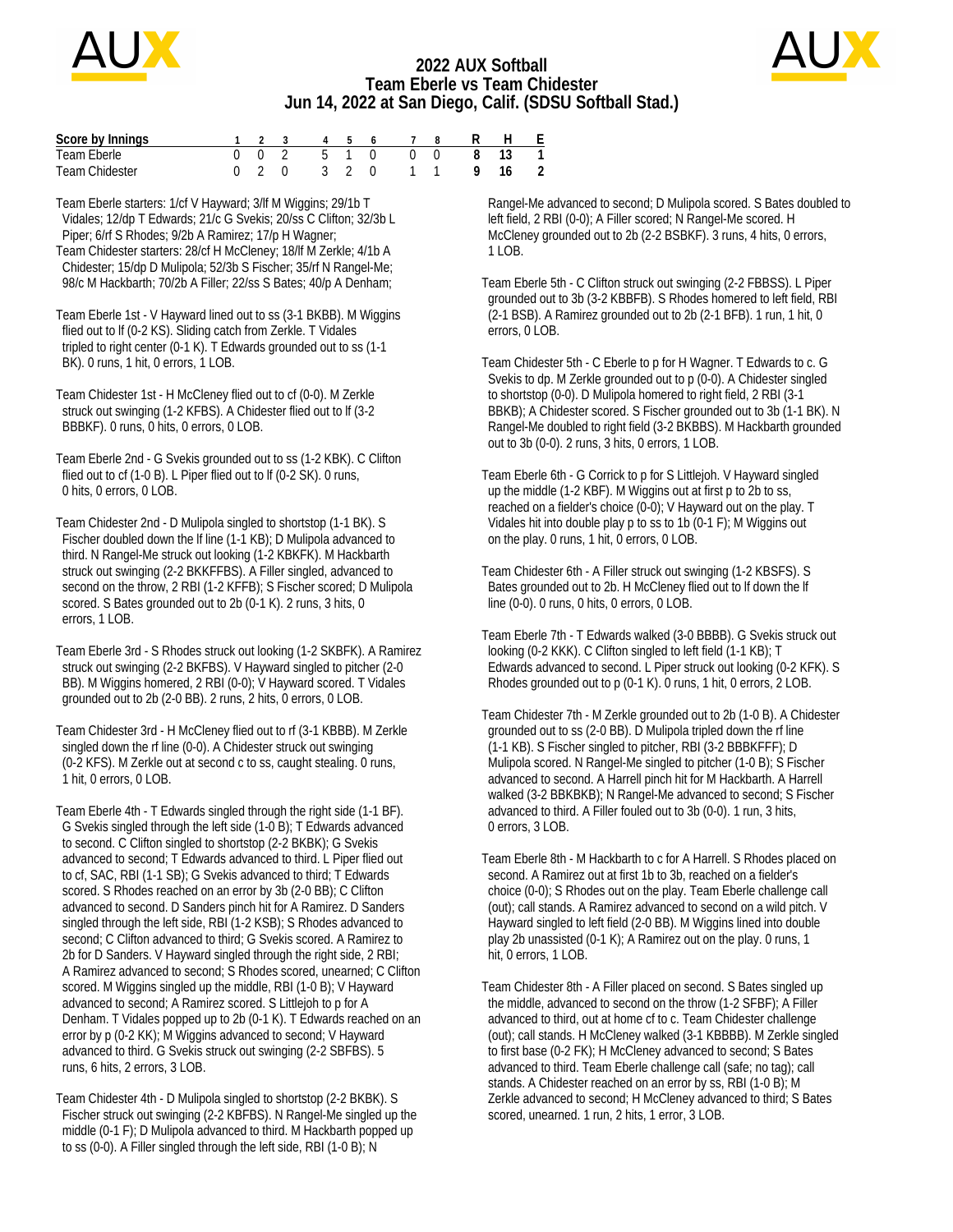

## **2022 AUX Softball Team Eberle vs Team Chidester Jun 14, 2022 at San Diego, Calif. (SDSU Softball Stad.)**



| Score by Innings      |  |  |  |  | 1 2 3 4 5 6 7 8 R H E  |  |
|-----------------------|--|--|--|--|------------------------|--|
| Team Eberle           |  |  |  |  | 0 0 2 5 1 0 0 0 8 13   |  |
| <b>Team Chidester</b> |  |  |  |  | 0 2 0 3 2 0 1 1 9 16 2 |  |

Team Eberle starters: 1/cf V Hayward; 3/lf M Wiggins; 29/1b T Vidales; 12/dp T Edwards; 21/c G Svekis; 20/ss C Clifton; 32/3b L Piper; 6/rf S Rhodes; 9/2b A Ramirez; 17/p H Wagner; Team Chidester starters: 28/cf H McCleney; 18/lf M Zerkle; 4/1b A Chidester; 15/dp D Mulipola; 52/3b S Fischer; 35/rf N Rangel-Me; 98/c M Hackbarth; 70/2b A Filler; 22/ss S Bates; 40/p A Denham;

Team Eberle 1st - V Hayward lined out to ss (3-1 BKBB). M Wiggins flied out to lf (0-2 KS). Sliding catch from Zerkle. T Vidales tripled to right center (0-1 K). T Edwards grounded out to ss (1-1 BK). 0 runs, 1 hit, 0 errors, 1 LOB.

Team Chidester 1st - H McCleney flied out to cf (0-0). M Zerkle struck out swinging (1-2 KFBS). A Chidester flied out to lf (3-2 BBBKF). 0 runs, 0 hits, 0 errors, 0 LOB.

Team Eberle 2nd - G Svekis grounded out to ss (1-2 KBK). C Clifton flied out to cf (1-0 B). L Piper flied out to lf (0-2 SK). 0 runs, 0 hits, 0 errors, 0 LOB.

Team Chidester 2nd - D Mulipola singled to shortstop (1-1 BK). S Fischer doubled down the lf line (1-1 KB); D Mulipola advanced to third. N Rangel-Me struck out looking (1-2 KBKFK). M Hackbarth struck out swinging (2-2 BKKFFBS). A Filler singled, advanced to second on the throw, 2 RBI (1-2 KFFB); S Fischer scored; D Mulipola scored. S Bates grounded out to 2b (0-1 K). 2 runs, 3 hits, 0 errors, 1 LOB.

Team Eberle 3rd - S Rhodes struck out looking (1-2 SKBFK). A Ramirez struck out swinging (2-2 BKFBS). V Hayward singled to pitcher (2-0 BB). M Wiggins homered, 2 RBI (0-0); V Hayward scored. T Vidales grounded out to 2b (2-0 BB). 2 runs, 2 hits, 0 errors, 0 LOB.

Team Chidester 3rd - H McCleney flied out to rf (3-1 KBBB). M Zerkle singled down the rf line (0-0). A Chidester struck out swinging (0-2 KFS). M Zerkle out at second c to ss, caught stealing. 0 runs, 1 hit, 0 errors, 0 LOB.

Team Eberle 4th - T Edwards singled through the right side (1-1 BF). G Svekis singled through the left side (1-0 B); T Edwards advanced to second. C Clifton singled to shortstop (2-2 BKBK); G Svekis advanced to second; T Edwards advanced to third. L Piper flied out to cf, SAC, RBI (1-1 SB); G Svekis advanced to third; T Edwards scored. S Rhodes reached on an error by 3b (2-0 BB); C Clifton advanced to second. D Sanders pinch hit for A Ramirez. D Sanders singled through the left side, RBI (1-2 KSB); S Rhodes advanced to second; C Clifton advanced to third; G Svekis scored. A Ramirez to 2b for D Sanders. V Hayward singled through the right side, 2 RBI; A Ramirez advanced to second; S Rhodes scored, unearned; C Clifton scored. M Wiggins singled up the middle, RBI (1-0 B); V Hayward advanced to second; A Ramirez scored. S Littlejoh to p for A Denham. T Vidales popped up to 2b (0-1 K). T Edwards reached on an error by p (0-2 KK); M Wiggins advanced to second; V Hayward advanced to third. G Svekis struck out swinging (2-2 SBFBS). 5 runs, 6 hits, 2 errors, 3 LOB.

Team Chidester 4th - D Mulipola singled to shortstop (2-2 BKBK). S Fischer struck out swinging (2-2 KBFBS). N Rangel-Me singled up the middle (0-1 F); D Mulipola advanced to third. M Hackbarth popped up to ss (0-0). A Filler singled through the left side, RBI (1-0 B); N

 Rangel-Me advanced to second; D Mulipola scored. S Bates doubled to left field, 2 RBI (0-0); A Filler scored; N Rangel-Me scored. H McCleney grounded out to 2b (2-2 BSBKF). 3 runs, 4 hits, 0 errors, 1 LOB.

Team Eberle 5th - C Clifton struck out swinging (2-2 FBBSS). L Piper grounded out to 3b (3-2 KBBFB). S Rhodes homered to left field, RBI (2-1 BSB). A Ramirez grounded out to 2b (2-1 BFB). 1 run, 1 hit, 0 errors, 0 LOB.

Team Chidester 5th - C Eberle to p for H Wagner. T Edwards to c. G Svekis to dp. M Zerkle grounded out to p (0-0). A Chidester singled to shortstop (0-0). D Mulipola homered to right field, 2 RBI (3-1 BBKB); A Chidester scored. S Fischer grounded out to 3b (1-1 BK). N Rangel-Me doubled to right field (3-2 BKBBS). M Hackbarth grounded out to 3b (0-0). 2 runs, 3 hits, 0 errors, 1 LOB.

Team Eberle 6th - G Corrick to p for S Littlejoh. V Hayward singled up the middle (1-2 KBF). M Wiggins out at first p to 2b to ss, reached on a fielder's choice (0-0); V Hayward out on the play. T Vidales hit into double play p to ss to 1b (0-1 F); M Wiggins out on the play. 0 runs, 1 hit, 0 errors, 0 LOB.

Team Chidester 6th - A Filler struck out swinging (1-2 KBSFS). S Bates grounded out to 2b. H McCleney flied out to lf down the lf line (0-0). 0 runs, 0 hits, 0 errors, 0 LOB.

Team Eberle 7th - T Edwards walked (3-0 BBBB). G Svekis struck out looking (0-2 KKK). C Clifton singled to left field (1-1 KB); T Edwards advanced to second. L Piper struck out looking (0-2 KFK). S Rhodes grounded out to p (0-1 K). 0 runs, 1 hit, 0 errors, 2 LOB.

Team Chidester 7th - M Zerkle grounded out to 2b (1-0 B). A Chidester grounded out to ss (2-0 BB). D Mulipola tripled down the rf line (1-1 KB). S Fischer singled to pitcher, RBI (3-2 BBBKFFF); D Mulipola scored. N Rangel-Me singled to pitcher (1-0 B); S Fischer advanced to second. A Harrell pinch hit for M Hackbarth. A Harrell walked (3-2 BBKBKB); N Rangel-Me advanced to second; S Fischer advanced to third. A Filler fouled out to 3b (0-0). 1 run, 3 hits, 0 errors, 3 LOB.

Team Eberle 8th - M Hackbarth to c for A Harrell. S Rhodes placed on second. A Ramirez out at first 1b to 3b, reached on a fielder's choice (0-0); S Rhodes out on the play. Team Eberle challenge call (out); call stands. A Ramirez advanced to second on a wild pitch. V Hayward singled to left field (2-0 BB). M Wiggins lined into double play 2b unassisted (0-1 K); A Ramirez out on the play. 0 runs, 1 hit, 0 errors, 1 LOB.

Team Chidester 8th - A Filler placed on second. S Bates singled up the middle, advanced to second on the throw (1-2 SFBF); A Filler advanced to third, out at home cf to c. Team Chidester challenge (out); call stands. H McCleney walked (3-1 KBBBB). M Zerkle singled to first base (0-2 FK); H McCleney advanced to second; S Bates advanced to third. Team Eberle challenge call (safe; no tag); call stands. A Chidester reached on an error by ss, RBI (1-0 B); M Zerkle advanced to second; H McCleney advanced to third; S Bates scored, unearned. 1 run, 2 hits, 1 error, 3 LOB.